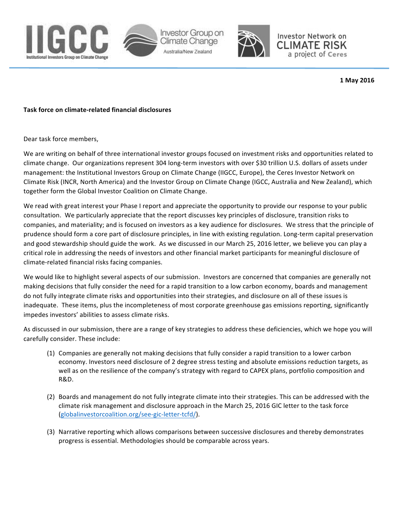



Investor Network on **CLIMATE RISK** a project of Ceres

**1 May 2016**

## **Task force on climate-related financial disclosures**

Dear task force members,

We are writing on behalf of three international investor groups focused on investment risks and opportunities related to climate change. Our organizations represent 304 long-term investors with over \$30 trillion U.S. dollars of assets under management: the Institutional Investors Group on Climate Change (IIGCC, Europe), the Ceres Investor Network on Climate Risk (INCR, North America) and the Investor Group on Climate Change (IGCC, Australia and New Zealand), which together form the Global Investor Coalition on Climate Change.

We read with great interest your Phase I report and appreciate the opportunity to provide our response to your public consultation. We particularly appreciate that the report discusses key principles of disclosure, transition risks to companies, and materiality; and is focused on investors as a key audience for disclosures. We stress that the principle of prudence should form a core part of disclosure principles, in line with existing regulation. Long-term capital preservation and good stewardship should guide the work. As we discussed in our March 25, 2016 letter, we believe you can play a critical role in addressing the needs of investors and other financial market participants for meaningful disclosure of climate-related financial risks facing companies.

We would like to highlight several aspects of our submission. Investors are concerned that companies are generally not making decisions that fully consider the need for a rapid transition to a low carbon economy, boards and management do not fully integrate climate risks and opportunities into their strategies, and disclosure on all of these issues is inadequate. These items, plus the incompleteness of most corporate greenhouse gas emissions reporting, significantly impedes investors' abilities to assess climate risks.

As discussed in our submission, there are a range of key strategies to address these deficiencies, which we hope you will carefully consider. These include:

- (1) Companies are generally not making decisions that fully consider a rapid transition to a lower carbon economy. Investors need disclosure of 2 degree stress testing and absolute emissions reduction targets, as well as on the resilience of the company's strategy with regard to CAPEX plans, portfolio composition and R&D.
- (2) Boards and management do not fully integrate climate into their strategies. This can be addressed with the climate risk management and disclosure approach in the March 25, 2016 GIC letter to the task force (globalinvestorcoalition.org/see-gic-letter-tcfd/).
- (3) Narrative reporting which allows comparisons between successive disclosures and thereby demonstrates progress is essential. Methodologies should be comparable across years.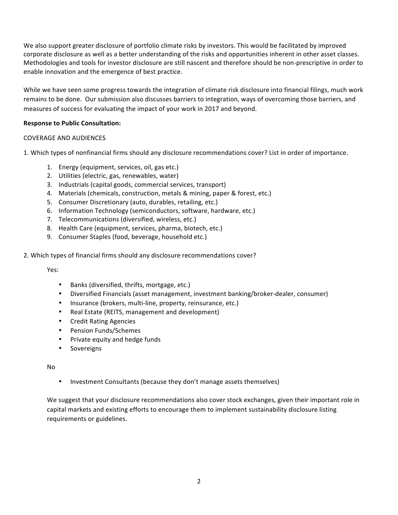We also support greater disclosure of portfolio climate risks by investors. This would be facilitated by improved corporate disclosure as well as a better understanding of the risks and opportunities inherent in other asset classes. Methodologies and tools for investor disclosure are still nascent and therefore should be non-prescriptive in order to enable innovation and the emergence of best practice.

While we have seen some progress towards the integration of climate risk disclosure into financial filings, much work remains to be done. Our submission also discusses barriers to integration, ways of overcoming those barriers, and measures of success for evaluating the impact of your work in 2017 and beyond.

## **Response to Public Consultation:**

## COVERAGE AND AUDIENCES

1. Which types of nonfinancial firms should any disclosure recommendations cover? List in order of importance.

- 1. Energy (equipment, services, oil, gas etc.)
- 2. Utilities (electric, gas, renewables, water)
- 3. Industrials (capital goods, commercial services, transport)
- 4. Materials (chemicals, construction, metals & mining, paper & forest, etc.)
- 5. Consumer Discretionary (auto, durables, retailing, etc.)
- 6. Information Technology (semiconductors, software, hardware, etc.)
- 7. Telecommunications (diversified, wireless, etc.)
- 8. Health Care (equipment, services, pharma, biotech, etc.)
- 9. Consumer Staples (food, beverage, household etc.)
- 2. Which types of financial firms should any disclosure recommendations cover?

Yes:

- Banks (diversified, thrifts, mortgage, etc.)
- Diversified Financials (asset management, investment banking/broker-dealer, consumer)
- Insurance (brokers, multi-line, property, reinsurance, etc.)
- Real Estate (REITS, management and development)
- Credit Rating Agencies
- Pension Funds/Schemes
- Private equity and hedge funds
- **Sovereigns**

No

• Investment Consultants (because they don't manage assets themselves)

We suggest that your disclosure recommendations also cover stock exchanges, given their important role in capital markets and existing efforts to encourage them to implement sustainability disclosure listing requirements or guidelines.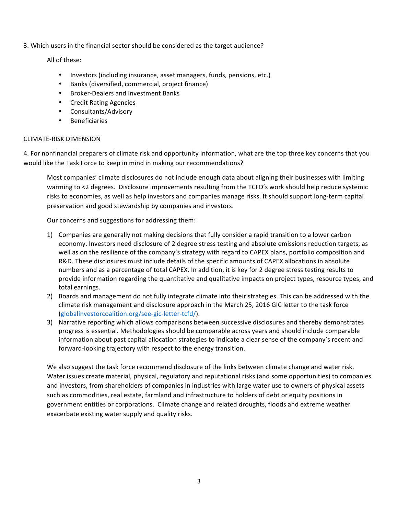3. Which users in the financial sector should be considered as the target audience?

All of these:

- Investors (including insurance, asset managers, funds, pensions, etc.)
- Banks (diversified, commercial, project finance)
- Broker-Dealers and Investment Banks
- Credit Rating Agencies
- Consultants/Advisory
- **Beneficiaries**

## CLIMATE-RISK DIMENSION

4. For nonfinancial preparers of climate risk and opportunity information, what are the top three key concerns that you would like the Task Force to keep in mind in making our recommendations?

Most companies' climate disclosures do not include enough data about aligning their businesses with limiting warming to <2 degrees. Disclosure improvements resulting from the TCFD's work should help reduce systemic risks to economies, as well as help investors and companies manage risks. It should support long-term capital preservation and good stewardship by companies and investors.

Our concerns and suggestions for addressing them:

- 1) Companies are generally not making decisions that fully consider a rapid transition to a lower carbon economy. Investors need disclosure of 2 degree stress testing and absolute emissions reduction targets, as well as on the resilience of the company's strategy with regard to CAPEX plans, portfolio composition and R&D. These disclosures must include details of the specific amounts of CAPEX allocations in absolute numbers and as a percentage of total CAPEX. In addition, it is key for 2 degree stress testing results to provide information regarding the quantitative and qualitative impacts on project types, resource types, and total earnings.
- 2) Boards and management do not fully integrate climate into their strategies. This can be addressed with the climate risk management and disclosure approach in the March 25, 2016 GIC letter to the task force (globalinvestorcoalition.org/see-gic-letter-tcfd/).
- 3) Narrative reporting which allows comparisons between successive disclosures and thereby demonstrates progress is essential. Methodologies should be comparable across years and should include comparable information about past capital allocation strategies to indicate a clear sense of the company's recent and forward-looking trajectory with respect to the energy transition.

We also suggest the task force recommend disclosure of the links between climate change and water risk. Water issues create material, physical, regulatory and reputational risks (and some opportunities) to companies and investors, from shareholders of companies in industries with large water use to owners of physical assets such as commodities, real estate, farmland and infrastructure to holders of debt or equity positions in government entities or corporations. Climate change and related droughts, floods and extreme weather exacerbate existing water supply and quality risks.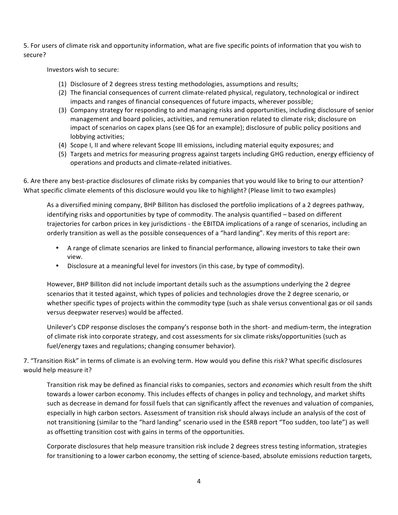5. For users of climate risk and opportunity information, what are five specific points of information that you wish to secure?

Investors wish to secure:

- (1) Disclosure of 2 degrees stress testing methodologies, assumptions and results;
- (2) The financial consequences of current climate-related physical, regulatory, technological or indirect impacts and ranges of financial consequences of future impacts, wherever possible;
- (3) Company strategy for responding to and managing risks and opportunities, including disclosure of senior management and board policies, activities, and remuneration related to climate risk; disclosure on impact of scenarios on capex plans (see Q6 for an example); disclosure of public policy positions and lobbying activities;
- (4) Scope I, II and where relevant Scope III emissions, including material equity exposures; and
- (5) Targets and metrics for measuring progress against targets including GHG reduction, energy efficiency of operations and products and climate-related initiatives.

6. Are there any best-practice disclosures of climate risks by companies that you would like to bring to our attention? What specific climate elements of this disclosure would you like to highlight? (Please limit to two examples)

As a diversified mining company, BHP Billiton has disclosed the portfolio implications of a 2 degrees pathway, identifying risks and opportunities by type of commodity. The analysis quantified - based on different trajectories for carbon prices in key jurisdictions - the EBITDA implications of a range of scenarios, including an orderly transition as well as the possible consequences of a "hard landing". Key merits of this report are:

- A range of climate scenarios are linked to financial performance, allowing investors to take their own view.
- Disclosure at a meaningful level for investors (in this case, by type of commodity).

However, BHP Billiton did not include important details such as the assumptions underlying the 2 degree scenarios that it tested against, which types of policies and technologies drove the 2 degree scenario, or whether specific types of projects within the commodity type (such as shale versus conventional gas or oil sands versus deepwater reserves) would be affected.

Unilever's CDP response discloses the company's response both in the short- and medium-term, the integration of climate risk into corporate strategy, and cost assessments for six climate risks/opportunities (such as fuel/energy taxes and regulations; changing consumer behavior).

7. "Transition Risk" in terms of climate is an evolving term. How would you define this risk? What specific disclosures would help measure it?

Transition risk may be defined as financial risks to companies, sectors and *economies* which result from the shift towards a lower carbon economy. This includes effects of changes in policy and technology, and market shifts such as decrease in demand for fossil fuels that can significantly affect the revenues and valuation of companies, especially in high carbon sectors. Assessment of transition risk should always include an analysis of the cost of not transitioning (similar to the "hard landing" scenario used in the ESRB report "Too sudden, too late") as well as offsetting transition cost with gains in terms of the opportunities.

Corporate disclosures that help measure transition risk include 2 degrees stress testing information, strategies for transitioning to a lower carbon economy, the setting of science-based, absolute emissions reduction targets,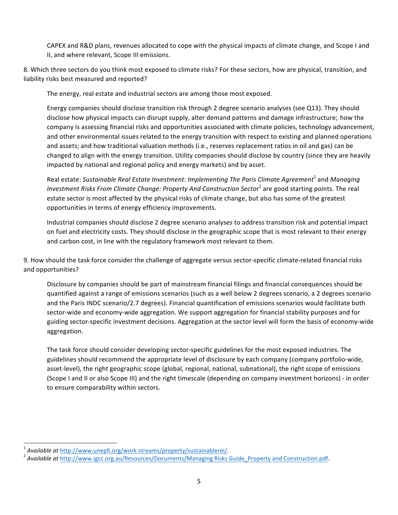CAPEX and R&D plans, revenues allocated to cope with the physical impacts of climate change, and Scope I and II, and where relevant, Scope III emissions.

8. Which three sectors do you think most exposed to climate risks? For these sectors, how are physical, transition, and liability risks best measured and reported?

The energy, real estate and industrial sectors are among those most exposed.

Energy companies should disclose transition risk through 2 degree scenario analyses (see Q13). They should disclose how physical impacts can disrupt supply, alter demand patterns and damage infrastructure; how the company is assessing financial risks and opportunities associated with climate policies, technology advancement, and other environmental issues related to the energy transition with respect to existing and planned operations and assets; and how traditional valuation methods (i.e., reserves replacement ratios in oil and gas) can be changed to align with the energy transition. Utility companies should disclose by country (since they are heavily impacted by national and regional policy and energy markets) and by asset.

Real estate: Sustainable Real Estate Investment: Implementing The Paris Climate Agreement<sup>1</sup> and Managing Investment Risks From Climate Change: Property And Construction Sector<sup>2</sup> are good starting points. The real estate sector is most affected by the physical risks of climate change, but also has some of the greatest opportunities in terms of energy efficiency improvements.

Industrial companies should disclose 2 degree scenario analyses to address transition risk and potential impact on fuel and electricity costs. They should disclose in the geographic scope that is most relevant to their energy and carbon cost, in line with the regulatory framework most relevant to them.

9. How should the task force consider the challenge of aggregate versus sector-specific climate-related financial risks and opportunities?

Disclosure by companies should be part of mainstream financial filings and financial consequences should be quantified against a range of emissions scenarios (such as a well below 2 degrees scenario, a 2 degrees scenario and the Paris INDC scenario/2.7 degrees). Financial quantification of emissions scenarios would facilitate both sector-wide and economy-wide aggregation. We support aggregation for financial stability purposes and for guiding sector-specific investment decisions. Aggregation at the sector level will form the basis of economy-wide aggregation.

The task force should consider developing sector-specific guidelines for the most exposed industries. The guidelines should recommend the appropriate level of disclosure by each company (company portfolio-wide, asset-level), the right geographic scope (global, regional, national, subnational), the right scope of emissions (Scope I and II or also Scope III) and the right timescale (depending on company investment horizons) - in order to ensure comparability within sectors.

 

<sup>&</sup>lt;sup>1</sup> Available at http://www.unepfi.org/work-streams/property/sustainablerei/.<br><sup>2</sup> Available at http://www.igcc.org.au/Resources/Documents/Managing Risks Guide\_Property and Construction.pdf.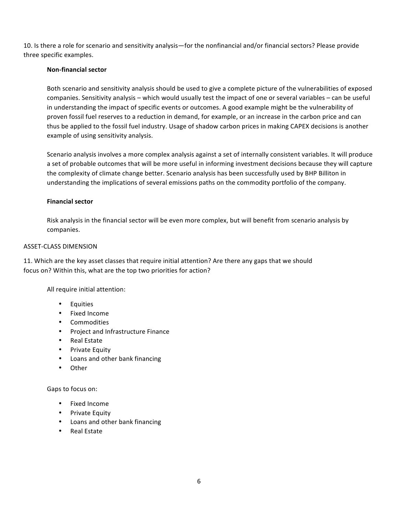10. Is there a role for scenario and sensitivity analysis—for the nonfinancial and/or financial sectors? Please provide three specific examples.

## **Non-financial sector**

Both scenario and sensitivity analysis should be used to give a complete picture of the vulnerabilities of exposed companies. Sensitivity analysis – which would usually test the impact of one or several variables – can be useful in understanding the impact of specific events or outcomes. A good example might be the vulnerability of proven fossil fuel reserves to a reduction in demand, for example, or an increase in the carbon price and can thus be applied to the fossil fuel industry. Usage of shadow carbon prices in making CAPEX decisions is another example of using sensitivity analysis.

Scenario analysis involves a more complex analysis against a set of internally consistent variables. It will produce a set of probable outcomes that will be more useful in informing investment decisions because they will capture the complexity of climate change better. Scenario analysis has been successfully used by BHP Billiton in understanding the implications of several emissions paths on the commodity portfolio of the company.

## **Financial sector**

Risk analysis in the financial sector will be even more complex, but will benefit from scenario analysis by companies. 

#### ASSET-CLASS DIMENSION

11. Which are the key asset classes that require initial attention? Are there any gaps that we should focus on? Within this, what are the top two priorities for action?

All require initial attention:

- Equities
- Fixed Income
- Commodities
- Project and Infrastructure Finance
- Real Estate
- Private Equity
- Loans and other bank financing
- Other

Gaps to focus on:

- Fixed Income
- Private Equity
- Loans and other bank financing
- Real Estate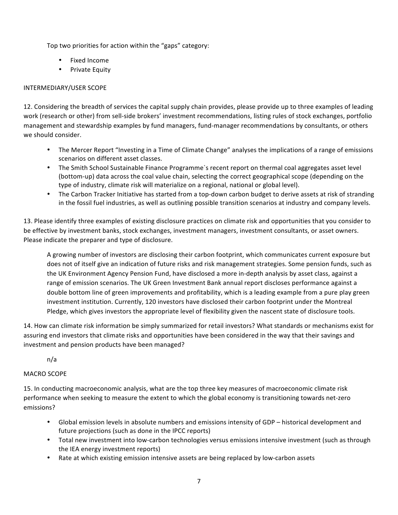Top two priorities for action within the "gaps" category:

- Fixed Income
- Private Equity

# INTERMEDIARY/USER SCOPE

12. Considering the breadth of services the capital supply chain provides, please provide up to three examples of leading work (research or other) from sell-side brokers' investment recommendations, listing rules of stock exchanges, portfolio management and stewardship examples by fund managers, fund-manager recommendations by consultants, or others we should consider.

- The Mercer Report "Investing in a Time of Climate Change" analyses the implications of a range of emissions scenarios on different asset classes.
- The Smith School Sustainable Finance Programme`s recent report on thermal coal aggregates asset level (bottom-up) data across the coal value chain, selecting the correct geographical scope (depending on the type of industry, climate risk will materialize on a regional, national or global level).
- The Carbon Tracker Initiative has started from a top-down carbon budget to derive assets at risk of stranding in the fossil fuel industries, as well as outlining possible transition scenarios at industry and company levels.

13. Please identify three examples of existing disclosure practices on climate risk and opportunities that you consider to be effective by investment banks, stock exchanges, investment managers, investment consultants, or asset owners. Please indicate the preparer and type of disclosure.

A growing number of investors are disclosing their carbon footprint, which communicates current exposure but does not of itself give an indication of future risks and risk management strategies. Some pension funds, such as the UK Environment Agency Pension Fund, have disclosed a more in-depth analysis by asset class, against a range of emission scenarios. The UK Green Investment Bank annual report discloses performance against a double bottom line of green improvements and profitability, which is a leading example from a pure play green investment institution. Currently, 120 investors have disclosed their carbon footprint under the Montreal Pledge, which gives investors the appropriate level of flexibility given the nascent state of disclosure tools.

14. How can climate risk information be simply summarized for retail investors? What standards or mechanisms exist for assuring end investors that climate risks and opportunities have been considered in the way that their savings and investment and pension products have been managed?

n/a

## MACRO SCOPE

15. In conducting macroeconomic analysis, what are the top three key measures of macroeconomic climate risk performance when seeking to measure the extent to which the global economy is transitioning towards net-zero emissions?

- Global emission levels in absolute numbers and emissions intensity of GDP historical development and future projections (such as done in the IPCC reports)
- Total new investment into low-carbon technologies versus emissions intensive investment (such as through the IEA energy investment reports)
- Rate at which existing emission intensive assets are being replaced by low-carbon assets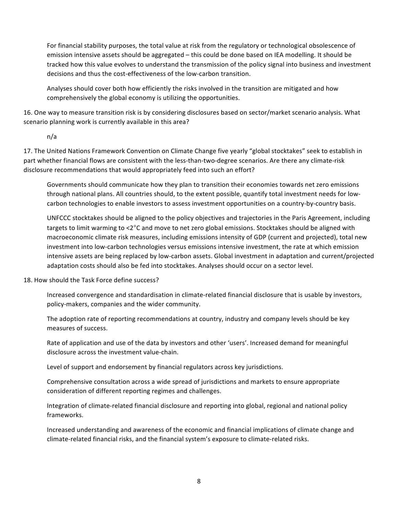For financial stability purposes, the total value at risk from the regulatory or technological obsolescence of emission intensive assets should be aggregated – this could be done based on IEA modelling. It should be tracked how this value evolves to understand the transmission of the policy signal into business and investment decisions and thus the cost-effectiveness of the low-carbon transition.

Analyses should cover both how efficiently the risks involved in the transition are mitigated and how comprehensively the global economy is utilizing the opportunities.

16. One way to measure transition risk is by considering disclosures based on sector/market scenario analysis. What scenario planning work is currently available in this area?

n/a

17. The United Nations Framework Convention on Climate Change five yearly "global stocktakes" seek to establish in part whether financial flows are consistent with the less-than-two-degree scenarios. Are there any climate-risk disclosure recommendations that would appropriately feed into such an effort?

Governments should communicate how they plan to transition their economies towards net zero emissions through national plans. All countries should, to the extent possible, quantify total investment needs for lowcarbon technologies to enable investors to assess investment opportunities on a country-by-country basis.

UNFCCC stocktakes should be aligned to the policy objectives and trajectories in the Paris Agreement, including targets to limit warming to  $\lt2^{\circ}$ C and move to net zero global emissions. Stocktakes should be aligned with macroeconomic climate risk measures, including emissions intensity of GDP (current and projected), total new investment into low-carbon technologies versus emissions intensive investment, the rate at which emission intensive assets are being replaced by low-carbon assets. Global investment in adaptation and current/projected adaptation costs should also be fed into stocktakes. Analyses should occur on a sector level.

## 18. How should the Task Force define success?

Increased convergence and standardisation in climate-related financial disclosure that is usable by investors, policy-makers, companies and the wider community.

The adoption rate of reporting recommendations at country, industry and company levels should be key measures of success.

Rate of application and use of the data by investors and other 'users'. Increased demand for meaningful disclosure across the investment value-chain.

Level of support and endorsement by financial regulators across key jurisdictions.

Comprehensive consultation across a wide spread of jurisdictions and markets to ensure appropriate consideration of different reporting regimes and challenges.

Integration of climate-related financial disclosure and reporting into global, regional and national policy frameworks.

Increased understanding and awareness of the economic and financial implications of climate change and climate-related financial risks, and the financial system's exposure to climate-related risks.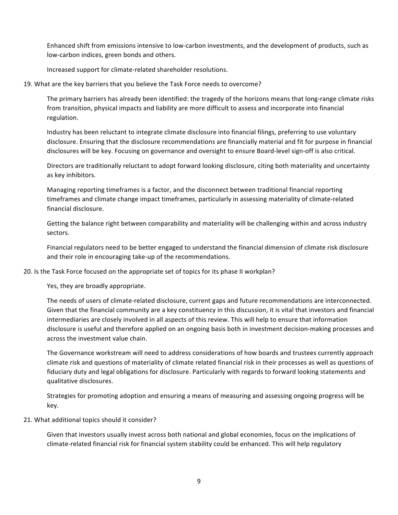Enhanced shift from emissions intensive to low-carbon investments, and the development of products, such as low-carbon indices, green bonds and others.

Increased support for climate-related shareholder resolutions.

19. What are the key barriers that you believe the Task Force needs to overcome?

The primary barriers has already been identified: the tragedy of the horizons means that long-range climate risks from transition, physical impacts and liability are more difficult to assess and incorporate into financial regulation.

Industry has been reluctant to integrate climate disclosure into financial filings, preferring to use voluntary disclosure. Ensuring that the disclosure recommendations are financially material and fit for purpose in financial disclosures will be key. Focusing on governance and oversight to ensure Board-level sign-off is also critical.

Directors are traditionally reluctant to adopt forward looking disclosure, citing both materiality and uncertainty as key inhibitors.

Managing reporting timeframes is a factor, and the disconnect between traditional financial reporting timeframes and climate change impact timeframes, particularly in assessing materiality of climate-related financial disclosure.

Getting the balance right between comparability and materiality will be challenging within and across industry sectors. 

Financial regulators need to be better engaged to understand the financial dimension of climate risk disclosure and their role in encouraging take-up of the recommendations.

20. Is the Task Force focused on the appropriate set of topics for its phase II workplan?

Yes, they are broadly appropriate.

The needs of users of climate-related disclosure, current gaps and future recommendations are interconnected. Given that the financial community are a key constituency in this discussion, it is vital that investors and financial intermediaries are closely involved in all aspects of this review. This will help to ensure that information disclosure is useful and therefore applied on an ongoing basis both in investment decision-making processes and across the investment value chain.

The Governance workstream will need to address considerations of how boards and trustees currently approach climate risk and questions of materiality of climate related financial risk in their processes as well as questions of fiduciary duty and legal obligations for disclosure. Particularly with regards to forward looking statements and qualitative disclosures.

Strategies for promoting adoption and ensuring a means of measuring and assessing ongoing progress will be key. 

## 21. What additional topics should it consider?

Given that investors usually invest across both national and global economies, focus on the implications of climate-related financial risk for financial system stability could be enhanced. This will help regulatory